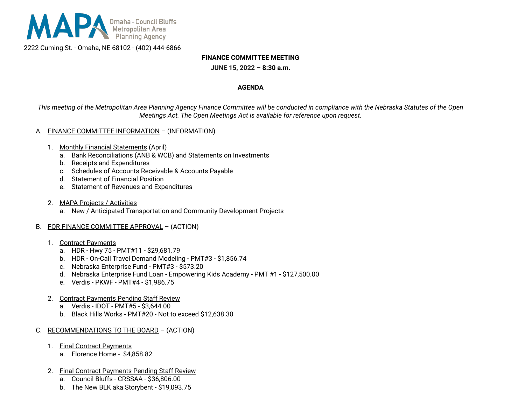

2222 Cuming St. - Omaha, NE 68102 - (402) 444-6866

### **FINANCE COMMITTEE MEETING**

**JUNE 15, 2022 – 8:30 a.m.**

#### **AGENDA**

This meeting of the Metropolitan Area Planning Agency Finance Committee will be conducted in compliance with the Nebraska Statutes of the Open *Meetings Act. The Open Meetings Act is available for reference upon request.*

#### A. FINANCE COMMITTEE INFORMATION – (INFORMATION)

- 1. Monthly Financial Statements (April)
	- a. Bank Reconciliations (ANB & WCB) and Statements on Investments
	- b. Receipts and Expenditures
	- c. Schedules of Accounts Receivable & Accounts Payable
	- d. Statement of Financial Position
	- e. Statement of Revenues and Expenditures
- 2. MAPA Projects / Activities
	- a. New / Anticipated Transportation and Community Development Projects
- B. FOR FINANCE COMMITTEE APPROVAL (ACTION)
	- 1. Contract Payments
		- a. HDR Hwy 75 PMT#11 \$29,681.79
		- b. HDR On-Call Travel Demand Modeling PMT#3 \$1,856.74
		- c. Nebraska Enterprise Fund PMT#3 \$573.20
		- d. Nebraska Enterprise Fund Loan Empowering Kids Academy PMT #1 \$127,500.00
		- e. Verdis PKWF PMT#4 \$1,986.75
	- 2. Contract Payments Pending Staff Review
		- a. Verdis IDOT PMT#5 \$3,644.00
		- b. Black Hills Works PMT#20 Not to exceed \$12,638.30
- C. RECOMMENDATIONS TO THE BOARD (ACTION)
	- 1. Final Contract Payments
		- a. Florence Home \$4,858.82
	- 2. Final Contract Payments Pending Staff Review
		- a. Council Bluffs CRSSAA \$36,806.00
		- b. The New BLK aka Storybent \$19,093.75